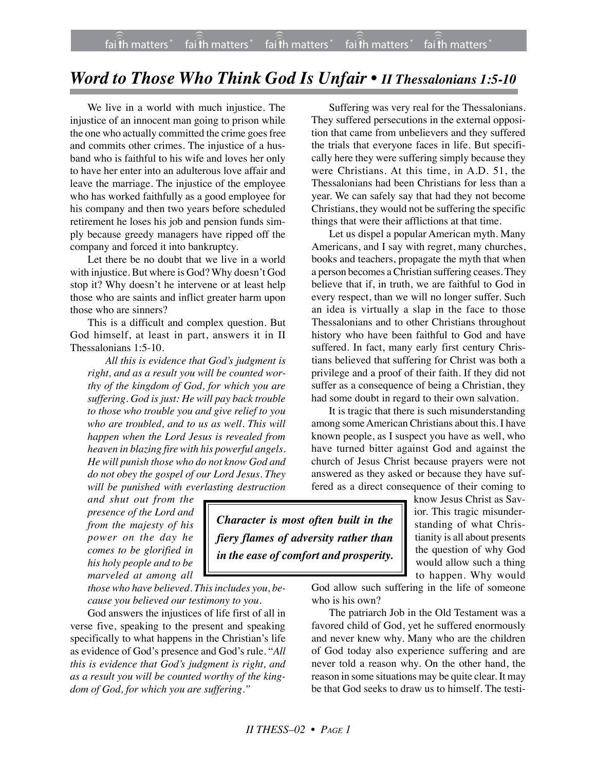## *Word to Those Who Think God Is Unfair • II Thessalonians 1:5-10*

We live in a world with much injustice. The injustice of an innocent man going to prison while the one who actually committed the crime goes free and commits other crimes. The injustice of a husband who is faithful to his wife and loves her only to have her enter into an adulterous love affair and leave the marriage. The injustice of the employee who has worked faithfully as a good employee for his company and then two years before scheduled retirement he loses his job and pension funds simply because greedy managers have ripped off the company and forced it into bankruptcy.

Let there be no doubt that we live in a world with injustice. But where is God? Why doesn't God stop it? Why doesn't he intervene or at least help those who are saints and inflict greater harm upon those who are sinners?

This is a difficult and complex question. But God himself, at least in part, answers it in II Thessalonians 1:5-10.

*All this is evidence that God's judgment is right, and as a result you will be counted worthy of the kingdom of God, for which you are suffering. God is just: He will pay back trouble to those who trouble you and give relief to you who are troubled, and to us as well. This will happen when the Lord Jesus is revealed from heaven in blazing fire with his powerful angels. He will punish those who do not know God and do not obey the gospel of our Lord Jesus. They will be punished with everlasting destruction*

*and shut out from the presence of the Lord and from the majesty of his power on the day he comes to be glorified in his holy people and to be marveled at among all*

*those who have believed. This includes you, because you believed our testimony to you.*

God answers the injustices of life first of all in verse five, speaking to the present and speaking specifically to what happens in the Christian's life as evidence of God's presence and God's rule. "*All this is evidence that God's judgment is right, and as a result you will be counted worthy of the kingdom of God, for which you are suffering."*

Suffering was very real for the Thessalonians. They suffered persecutions in the external opposition that came from unbelievers and they suffered the trials that everyone faces in life. But specifically here they were suffering simply because they were Christians. At this time, in A.D. 51, the Thessalonians had been Christians for less than a year. We can safely say that had they not become Christians, they would not be suffering the specific things that were their afflictions at that time.

Let us dispel a popular American myth. Many Americans, and I say with regret, many churches, books and teachers, propagate the myth that when a person becomes a Christian suffering ceases. They believe that if, in truth, we are faithful to God in every respect, than we will no longer suffer. Such an idea is virtually a slap in the face to those Thessalonians and to other Christians throughout history who have been faithful to God and have suffered. In fact, many early first century Christians believed that suffering for Christ was both a privilege and a proof of their faith. If they did not suffer as a consequence of being a Christian, they had some doubt in regard to their own salvation.

It is tragic that there is such misunderstanding among some American Christians about this. I have known people, as I suspect you have as well, who have turned bitter against God and against the church of Jesus Christ because prayers were not answered as they asked or because they have suffered as a direct consequence of their coming to

*Character is most often built in the fiery flames of adversity rather than in the ease of comfort and prosperity.* know Jesus Christ as Savior. This tragic misunderstanding of what Christianity is all about presents the question of why God would allow such a thing to happen. Why would

God allow such suffering in the life of someone who is his own?

The patriarch Job in the Old Testament was a favored child of God, yet he suffered enormously and never knew why. Many who are the children of God today also experience suffering and are never told a reason why. On the other hand, the reason in some situations may be quite clear. It may be that God seeks to draw us to himself. The testi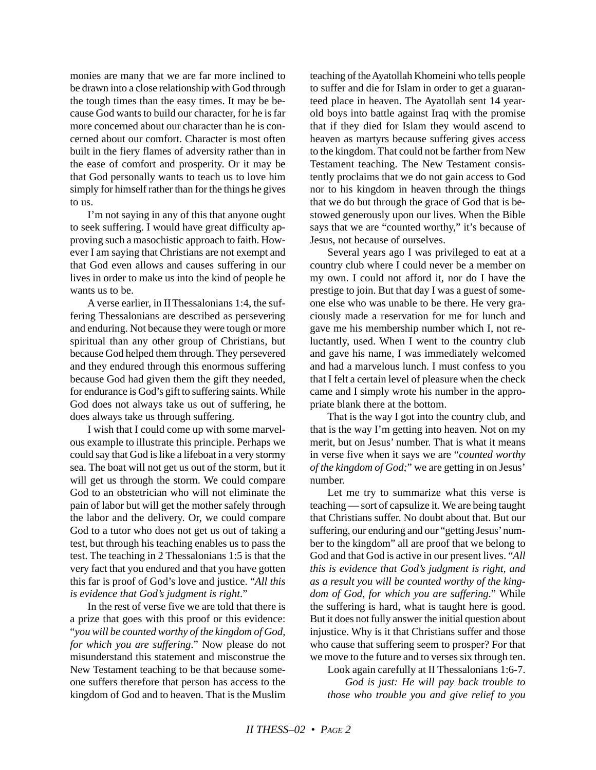monies are many that we are far more inclined to be drawn into a close relationship with God through the tough times than the easy times. It may be because God wants to build our character, for he is far more concerned about our character than he is concerned about our comfort. Character is most often built in the fiery flames of adversity rather than in the ease of comfort and prosperity. Or it may be that God personally wants to teach us to love him simply for himself rather than for the things he gives to us.

I'm not saying in any of this that anyone ought to seek suffering. I would have great difficulty approving such a masochistic approach to faith. However I am saying that Christians are not exempt and that God even allows and causes suffering in our lives in order to make us into the kind of people he wants us to be.

A verse earlier, in IIThessalonians 1:4, the suffering Thessalonians are described as persevering and enduring. Not because they were tough or more spiritual than any other group of Christians, but because God helped them through. They persevered and they endured through this enormous suffering because God had given them the gift they needed, for endurance is God's gift to suffering saints. While God does not always take us out of suffering, he does always take us through suffering.

I wish that I could come up with some marvelous example to illustrate this principle. Perhaps we could say that God is like a lifeboat in a very stormy sea. The boat will not get us out of the storm, but it will get us through the storm. We could compare God to an obstetrician who will not eliminate the pain of labor but will get the mother safely through the labor and the delivery. Or, we could compare God to a tutor who does not get us out of taking a test, but through his teaching enables us to pass the test. The teaching in 2 Thessalonians 1:5 is that the very fact that you endured and that you have gotten this far is proof of God's love and justice. "*All this is evidence that God's judgment is right*."

In the rest of verse five we are told that there is a prize that goes with this proof or this evidence: "*you will be counted worthy of the kingdom of God, for which you are suffering*." Now please do not misunderstand this statement and misconstrue the New Testament teaching to be that because someone suffers therefore that person has access to the kingdom of God and to heaven. That is the Muslim teaching of the Ayatollah Khomeini who tells people to suffer and die for Islam in order to get a guaranteed place in heaven. The Ayatollah sent 14 yearold boys into battle against Iraq with the promise that if they died for Islam they would ascend to heaven as martyrs because suffering gives access to the kingdom. That could not be farther from New Testament teaching. The New Testament consistently proclaims that we do not gain access to God nor to his kingdom in heaven through the things that we do but through the grace of God that is bestowed generously upon our lives. When the Bible says that we are "counted worthy," it's because of Jesus, not because of ourselves.

Several years ago I was privileged to eat at a country club where I could never be a member on my own. I could not afford it, nor do I have the prestige to join. But that day I was a guest of someone else who was unable to be there. He very graciously made a reservation for me for lunch and gave me his membership number which I, not reluctantly, used. When I went to the country club and gave his name, I was immediately welcomed and had a marvelous lunch. I must confess to you that I felt a certain level of pleasure when the check came and I simply wrote his number in the appropriate blank there at the bottom.

That is the way I got into the country club, and that is the way I'm getting into heaven. Not on my merit, but on Jesus' number. That is what it means in verse five when it says we are "*counted worthy of the kingdom of God;*" we are getting in on Jesus' number.

Let me try to summarize what this verse is teaching — sort of capsulize it. We are being taught that Christians suffer. No doubt about that. But our suffering, our enduring and our "getting Jesus' number to the kingdom" all are proof that we belong to God and that God is active in our present lives. "*All this is evidence that God's judgment is right, and as a result you will be counted worthy of the kingdom of God, for which you are suffering*." While the suffering is hard, what is taught here is good. But it does not fully answer the initial question about injustice. Why is it that Christians suffer and those who cause that suffering seem to prosper? For that we move to the future and to verses six through ten.

Look again carefully at II Thessalonians 1:6-7. *God is just: He will pay back trouble to those who trouble you and give relief to you*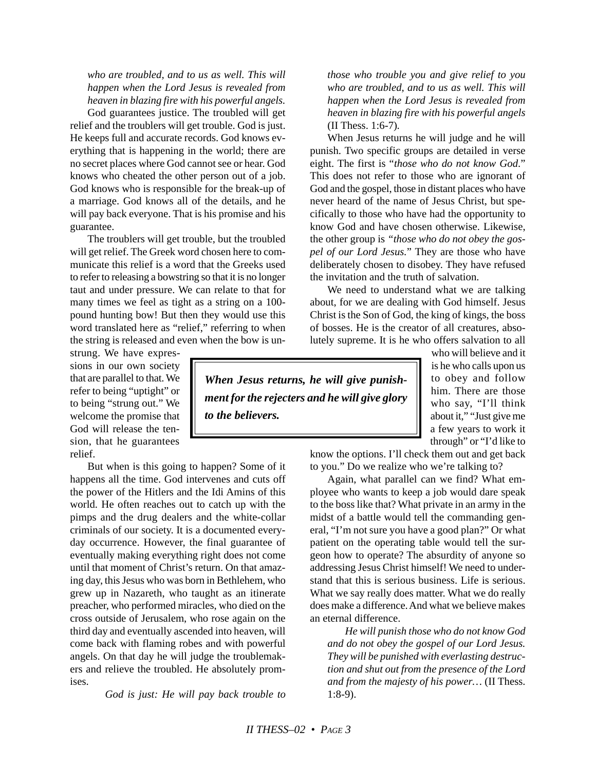*who are troubled, and to us as well. This will happen when the Lord Jesus is revealed from heaven in blazing fire with his powerful angels.*

God guarantees justice. The troubled will get relief and the troublers will get trouble. God is just. He keeps full and accurate records. God knows everything that is happening in the world; there are no secret places where God cannot see or hear. God knows who cheated the other person out of a job. God knows who is responsible for the break-up of a marriage. God knows all of the details, and he will pay back everyone. That is his promise and his guarantee.

The troublers will get trouble, but the troubled will get relief. The Greek word chosen here to communicate this relief is a word that the Greeks used to refer to releasing a bowstring so that it is no longer taut and under pressure. We can relate to that for many times we feel as tight as a string on a 100 pound hunting bow! But then they would use this word translated here as "relief," referring to when the string is released and even when the bow is un-

strung. We have expressions in our own society that are parallel to that. We refer to being "uptight" or to being "strung out." We welcome the promise that God will release the tension, that he guarantees relief.

But when is this going to happen? Some of it happens all the time. God intervenes and cuts off the power of the Hitlers and the Idi Amins of this world. He often reaches out to catch up with the pimps and the drug dealers and the white-collar criminals of our society. It is a documented everyday occurrence. However, the final guarantee of eventually making everything right does not come until that moment of Christ's return. On that amazing day, this Jesus who was born in Bethlehem, who grew up in Nazareth, who taught as an itinerate preacher, who performed miracles, who died on the cross outside of Jerusalem, who rose again on the third day and eventually ascended into heaven, will come back with flaming robes and with powerful angels. On that day he will judge the troublemakers and relieve the troubled. He absolutely promises.

*God is just: He will pay back trouble to*

*those who trouble you and give relief to you who are troubled, and to us as well. This will happen when the Lord Jesus is revealed from heaven in blazing fire with his powerful angels* (II Thess. 1:6-7)*.*

When Jesus returns he will judge and he will punish. Two specific groups are detailed in verse eight. The first is "*those who do not know God*." This does not refer to those who are ignorant of God and the gospel, those in distant places who have never heard of the name of Jesus Christ, but specifically to those who have had the opportunity to know God and have chosen otherwise. Likewise, the other group is *"those who do not obey the gospel of our Lord Jesus.*" They are those who have deliberately chosen to disobey. They have refused the invitation and the truth of salvation.

We need to understand what we are talking about, for we are dealing with God himself. Jesus Christ is the Son of God, the king of kings, the boss of bosses. He is the creator of all creatures, absolutely supreme. It is he who offers salvation to all

*When Jesus returns, he will give punishment for the rejecters and he will give glory to the believers.*

who will believe and it is he who calls upon us to obey and follow him. There are those who say, "I'll think about it," "Just give me a few years to work it through" or "I'd like to

know the options. I'll check them out and get back to you." Do we realize who we're talking to?

Again, what parallel can we find? What employee who wants to keep a job would dare speak to the boss like that? What private in an army in the midst of a battle would tell the commanding general, "I'm not sure you have a good plan?" Or what patient on the operating table would tell the surgeon how to operate? The absurdity of anyone so addressing Jesus Christ himself! We need to understand that this is serious business. Life is serious. What we say really does matter. What we do really does make a difference. And what we believe makes an eternal difference.

*He will punish those who do not know God and do not obey the gospel of our Lord Jesus. They will be punished with everlasting destruction and shut out from the presence of the Lord and from the majesty of his power…* (II Thess. 1:8-9).